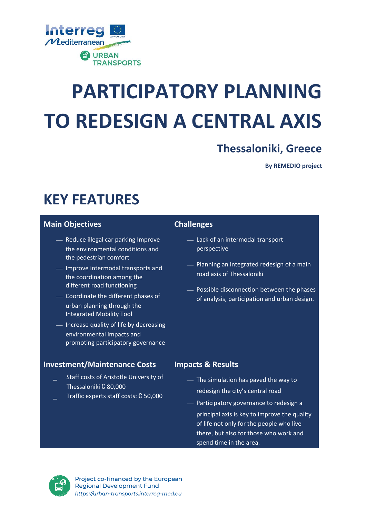

# **PARTICIPATORY PLANNING TO REDESIGN A CENTRAL AXIS**

### **Thessaloniki, Greece**

**By REMEDIO project**

## **KEY FEATURES**

### **Main Objectives**

- Reduce illegal car parking Improve the environmental conditions and the pedestrian comfort
- Improve intermodal transports and the coordination among the different road functioning
- ⎯ Coordinate the different phases of urban planning through the Integrated Mobility Tool
- Increase quality of life by decreasing environmental impacts and promoting participatory governance

### **Investment/Maintenance Costs**

- Staff costs of Aristotle University of Thessaloniki € 80,000
- Traffic experts staff costs: € 50,000

### **Challenges**

- ⎯ Lack of an intermodal transport perspective
- ⎯ Planning an integrated redesign of a main road axis of Thessaloniki
- Possible disconnection between the phases of analysis, participation and urban design.

### **Impacts & Results**

- ⎯ The simulation has paved the way to redesign the city's central road
- Participatory governance to redesign a principal axis is key to improve the quality of life not only for the people who live there, but also for those who work and spend time in the area.



Project co-financed by the European **Regional Development Fund** https://urban-transports.interreg-med.eu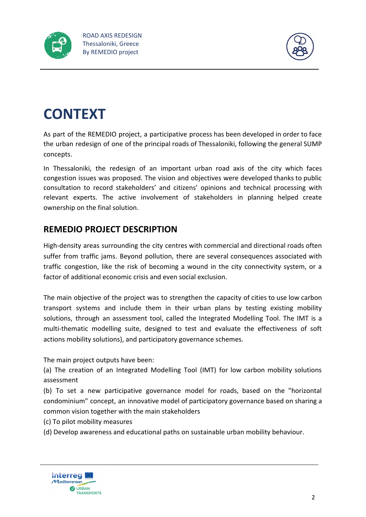



## **CONTEXT**

As part of the REMEDIO project, a participative process has been developed in order to face the urban redesign of one of the principal roads of Thessaloniki, following the general SUMP concepts.

In Thessaloniki, the redesign of an important urban road axis of the city which faces congestion issues was proposed. The vision and objectives were developed thanks to public consultation to record stakeholders' and citizens' opinions and technical processing with relevant experts. The active involvement of stakeholders in planning helped create ownership on the final solution.

### **REMEDIO PROJECT DESCRIPTION**

High-density areas surrounding the city centres with commercial and directional roads often suffer from traffic jams. Beyond pollution, there are several consequences associated with traffic congestion, like the risk of becoming a wound in the city connectivity system, or a factor of additional economic crisis and even social exclusion.

The main objective of the project was to strengthen the capacity of cities to use low carbon transport systems and include them in their urban plans by testing existing mobility solutions, through an assessment tool, called the Integrated Modelling Tool. The IMT is a multi-thematic modelling suite, designed to test and evaluate the effectiveness of soft actions mobility solutions), and participatory governance schemes.

The main project outputs have been:

(a) The creation of an Integrated Modelling Tool (IMT) for low carbon mobility solutions assessment

(b) To set a new participative governance model for roads, based on the "horizontal condominium" concept, an innovative model of participatory governance based on sharing a common vision together with the main stakeholders

(c) To pilot mobility measures

(d) Develop awareness and educational paths on sustainable urban mobility behaviour.

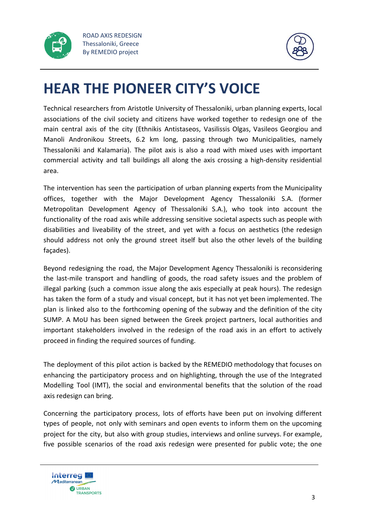



### **HEAR THE PIONEER CITY'S VOICE**

Technical researchers from Aristotle University of Thessaloniki, urban planning experts, local associations of the civil society and citizens have worked together to redesign one of the main central axis of the city (Ethnikis Antistaseos, Vasilissis Olgas, Vasileos Georgiou and Manoli Andronikou Streets, 6.2 km long, passing through two Municipalities, namely Thessaloniki and Kalamaria). The pilot axis is also a road with mixed uses with important commercial activity and tall buildings all along the axis crossing a high-density residential area.

The intervention has seen the participation of urban planning experts from the Municipality offices, together with the Major Development Agency Thessaloniki S.A. (former Metropolitan Development Agency of Thessaloniki S.A.), who took into account the functionality of the road axis while addressing sensitive societal aspects such as people with disabilities and liveability of the street, and yet with a focus on aesthetics (the redesign should address not only the ground street itself but also the other levels of the building façades).

Beyond redesigning the road, the Major Development Agency Thessaloniki is reconsidering the last-mile transport and handling of goods, the road safety issues and the problem of illegal parking (such a common issue along the axis especially at peak hours). The redesign has taken the form of a study and visual concept, but it has not yet been implemented. The plan is linked also to the forthcoming opening of the subway and the definition of the city SUMP. A MoU has been signed between the Greek project partners, local authorities and important stakeholders involved in the redesign of the road axis in an effort to actively proceed in finding the required sources of funding.

The deployment of this pilot action is backed by the REMEDIO methodology that focuses on enhancing the participatory process and on highlighting, through the use of the Integrated Modelling Tool (IMT), the social and environmental benefits that the solution of the road axis redesign can bring.

Concerning the participatory process, lots of efforts have been put on involving different types of people, not only with seminars and open events to inform them on the upcoming project for the city, but also with group studies, interviews and online surveys. For example, five possible scenarios of the road axis redesign were presented for public vote; the one

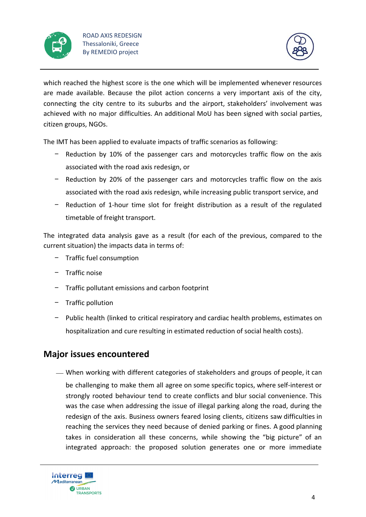



which reached the highest score is the one which will be implemented whenever resources are made available. Because the pilot action concerns a very important axis of the city, connecting the city centre to its suburbs and the airport, stakeholders' involvement was achieved with no major difficulties. An additional MoU has been signed with social parties, citizen groups, NGOs.

The IMT has been applied to evaluate impacts of traffic scenarios as following:

- − Reduction by 10% of the passenger cars and motorcycles traffic flow on the axis associated with the road axis redesign, or
- − Reduction by 20% of the passenger cars and motorcycles traffic flow on the axis associated with the road axis redesign, while increasing public transport service, and
- − Reduction of 1-hour time slot for freight distribution as a result of the regulated timetable of freight transport.

The integrated data analysis gave as a result (for each of the previous, compared to the current situation) the impacts data in terms of:

- − Traffic fuel consumption
- − Traffic noise
- − Traffic pollutant emissions and carbon footprint
- − Traffic pollution
- − Public health (linked to critical respiratory and cardiac health problems, estimates on hospitalization and cure resulting in estimated reduction of social health costs).

### **Major issues encountered**

⎯ When working with different categories of stakeholders and groups of people, it can be challenging to make them all agree on some specific topics, where self-interest or strongly rooted behaviour tend to create conflicts and blur social convenience. This was the case when addressing the issue of illegal parking along the road, during the redesign of the axis. Business owners feared losing clients, citizens saw difficulties in reaching the services they need because of denied parking or fines. A good planning takes in consideration all these concerns, while showing the "big picture" of an integrated approach: the proposed solution generates one or more immediate

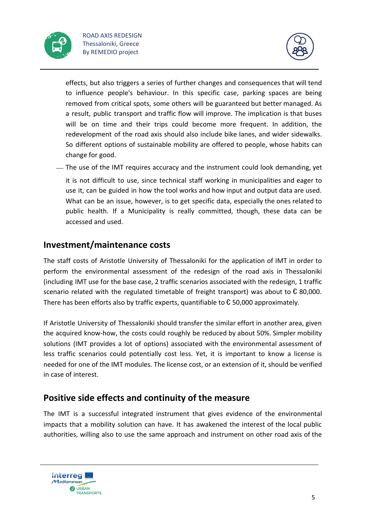



effects, but also triggers a series of further changes and consequences that will tend to influence people's behaviour. In this specific case, parking spaces are being removed from critical spots, some others will be guaranteed but better managed. As a result, public transport and traffic flow will improve. The implication is that buses will be on time and their trips could become more frequent. In addition, the redevelopment of the road axis should also include bike lanes, and wider sidewalks. So different options of sustainable mobility are offered to people, whose habits can change for good.

 $-$  The use of the IMT requires accuracy and the instrument could look demanding, yet it is not difficult to use, since technical staff working in municipalities and eager to use it, can be guided in how the tool works and how input and output data are used. What can be an issue, however, is to get specific data, especially the ones related to public health. If a Municipality is really committed, though, these data can be accessed and used.

### **Investment/maintenance costs**

The staff costs of Aristotle University of Thessaloniki for the application of IMT in order to perform the environmental assessment of the redesign of the road axis in Thessaloniki (including IMT use for the base case, 2 traffic scenarios associated with the redesign, 1 traffic scenario related with the regulated timetable of freight transport) was about to  $\epsilon$  80,000. There has been efforts also by traffic experts, quantifiable to  $\epsilon$  50,000 approximately.

If Aristotle University of Thessaloniki should transfer the similar effort in another area, given the acquired know-how, the costs could roughly be reduced by about 50%. Simpler mobility solutions (IMT provides a lot of options) associated with the environmental assessment of less traffic scenarios could potentially cost less. Yet, it is important to know a license is needed for one of the IMT modules. The license cost, or an extension of it, should be verified in case of interest.

### **Positive side effects and continuity of the measure**

The IMT is a successful integrated instrument that gives evidence of the environmental impacts that a mobility solution can have. It has awakened the interest of the local public authorities, willing also to use the same approach and instrument on other road axis of the